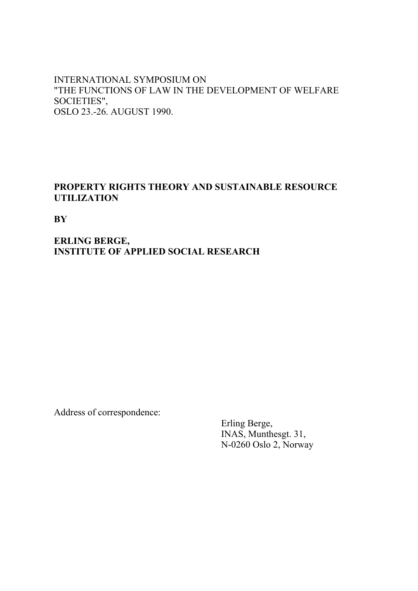### INTERNATIONAL SYMPOSIUM ON "THE FUNCTIONS OF LAW IN THE DEVELOPMENT OF WELFARE SOCIETIES", OSLO 23.-26. AUGUST 1990.

### **PROPERTY RIGHTS THEORY AND SUSTAINABLE RESOURCE UTILIZATION**

**BY**

### **ERLING BERGE, INSTITUTE OF APPLIED SOCIAL RESEARCH**

Address of correspondence:

 Erling Berge, INAS, Munthesgt. 31, N-0260 Oslo 2, Norway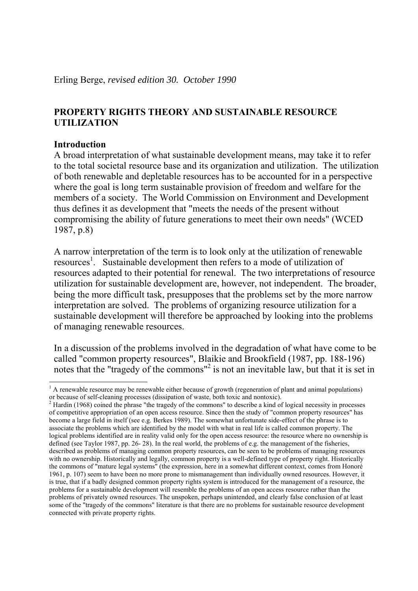### **PROPERTY RIGHTS THEORY AND SUSTAINABLE RESOURCE UTILIZATION**

### **Introduction**

A broad interpretation of what sustainable development means, may take it to refer to the total societal resource base and its organization and utilization. The utilization of both renewable and depletable resources has to be accounted for in a perspective where the goal is long term sustainable provision of freedom and welfare for the members of a society. The World Commission on Environment and Development thus defines it as development that "meets the needs of the present without compromising the ability of future generations to meet their own needs" (WCED 1987, p.8)

A narrow interpretation of the term is to look only at the utilization of renewable resources<sup>1</sup>. Sustainable development then refers to a mode of utilization of resources adapted to their potential for renewal. The two interpretations of resource utilization for sustainable development are, however, not independent. The broader, being the more difficult task, presupposes that the problems set by the more narrow interpretation are solved. The problems of organizing resource utilization for a sustainable development will therefore be approached by looking into the problems of managing renewable resources.

In a discussion of the problems involved in the degradation of what have come to be called "common property resources", Blaikie and Brookfield (1987, pp. 188-196) notes that the "tragedy of the commons"<sup>2</sup> is not an inevitable law, but that it is set in

 $\frac{1}{1}$  A renewable resource may be renewable either because of growth (regeneration of plant and animal populations) or because of self-cleaning processes (dissipation of waste, both toxic and nontoxic). 2

<sup>&</sup>lt;sup>2</sup> Hardin (1968) coined the phrase "the tragedy of the commons" to describe a kind of logical necessity in processes of competitive appropriation of an open access resource. Since then the study of "common property resources" has become a large field in itself (see e.g. Berkes 1989). The somewhat unfortunate side-effect of the phrase is to associate the problems which are identified by the model with what in real life is called common property. The logical problems identified are in reality valid only for the open access resource: the resource where no ownership is defined (see Taylor 1987, pp. 26- 28). In the real world, the problems of e.g. the management of the fisheries, described as problems of managing common property resources, can be seen to be problems of managing resources with no ownership. Historically and legally, common property is a well-defined type of property right. Historically the commons of "mature legal systems" (the expression, here in a somewhat different context, comes from Honoré 1961, p. 107) seem to have been no more prone to mismanagement than individually owned resources. However, it is true, that if a badly designed common property rights system is introduced for the management of a resource, the problems for a sustainable development will resemble the problems of an open access resource rather than the problems of privately owned resources. The unspoken, perhaps unintended, and clearly false conclusion of at least some of the "tragedy of the commons" literature is that there are no problems for sustainable resource development connected with private property rights.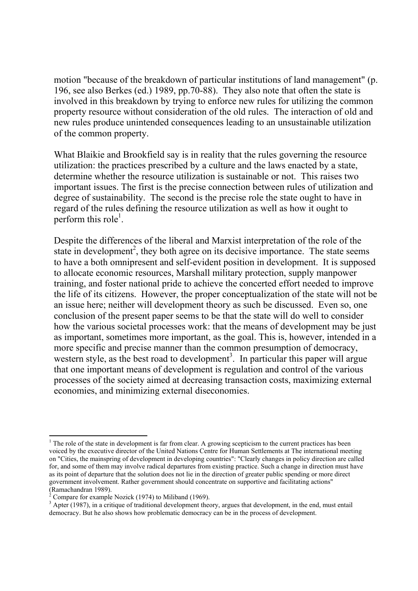motion "because of the breakdown of particular institutions of land management" (p. 196, see also Berkes (ed.) 1989, pp.70-88). They also note that often the state is involved in this breakdown by trying to enforce new rules for utilizing the common property resource without consideration of the old rules. The interaction of old and new rules produce unintended consequences leading to an unsustainable utilization of the common property.

What Blaikie and Brookfield say is in reality that the rules governing the resource utilization: the practices prescribed by a culture and the laws enacted by a state, determine whether the resource utilization is sustainable or not. This raises two important issues. The first is the precise connection between rules of utilization and degree of sustainability. The second is the precise role the state ought to have in regard of the rules defining the resource utilization as well as how it ought to perform this role<sup>1</sup>.

Despite the differences of the liberal and Marxist interpretation of the role of the state in development<sup>2</sup>, they both agree on its decisive importance. The state seems to have a both omnipresent and self-evident position in development. It is supposed to allocate economic resources, Marshall military protection, supply manpower training, and foster national pride to achieve the concerted effort needed to improve the life of its citizens. However, the proper conceptualization of the state will not be an issue here; neither will development theory as such be discussed. Even so, one conclusion of the present paper seems to be that the state will do well to consider how the various societal processes work: that the means of development may be just as important, sometimes more important, as the goal. This is, however, intended in a more specific and precise manner than the common presumption of democracy, western style, as the best road to development<sup>3</sup>. In particular this paper will argue that one important means of development is regulation and control of the various processes of the society aimed at decreasing transaction costs, maximizing external economies, and minimizing external diseconomies.

-

 $<sup>1</sup>$  The role of the state in development is far from clear. A growing scepticism to the current practices has been</sup> voiced by the executive director of the United Nations Centre for Human Settlements at The international meeting on "Cities, the mainspring of development in developing countries": "Clearly changes in policy direction are called for, and some of them may involve radical departures from existing practice. Such a change in direction must have as its point of departure that the solution does not lie in the direction of greater public spending or more direct government involvement. Rather government should concentrate on supportive and facilitating actions" (Ramachandran 1989).<br><sup>2</sup> Compare for example.

Compare for example Nozick (1974) to Miliband (1969).

 $3$  Apter (1987), in a critique of traditional development theory, argues that development, in the end, must entail democracy. But he also shows how problematic democracy can be in the process of development.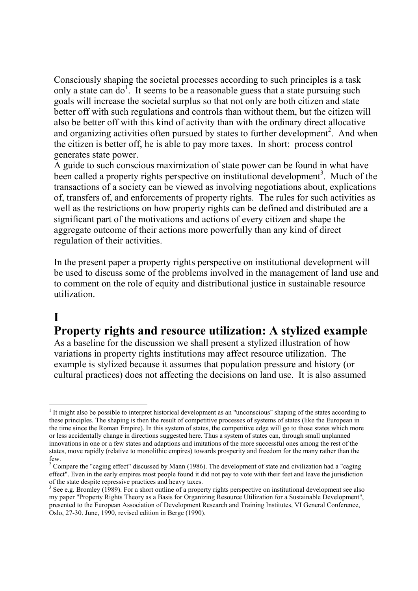Consciously shaping the societal processes according to such principles is a task only a state can do<sup>1</sup>. It seems to be a reasonable guess that a state pursuing such goals will increase the societal surplus so that not only are both citizen and state better off with such regulations and controls than without them, but the citizen will also be better off with this kind of activity than with the ordinary direct allocative and organizing activities often pursued by states to further development<sup>2</sup>. And when the citizen is better off, he is able to pay more taxes. In short: process control generates state power.

A guide to such conscious maximization of state power can be found in what have been called a property rights perspective on institutional development<sup>3</sup>. Much of the transactions of a society can be viewed as involving negotiations about, explications of, transfers of, and enforcements of property rights. The rules for such activities as well as the restrictions on how property rights can be defined and distributed are a significant part of the motivations and actions of every citizen and shape the aggregate outcome of their actions more powerfully than any kind of direct regulation of their activities.

In the present paper a property rights perspective on institutional development will be used to discuss some of the problems involved in the management of land use and to comment on the role of equity and distributional justice in sustainable resource utilization.

# **I**

## **Property rights and resource utilization: A stylized example**

As a baseline for the discussion we shall present a stylized illustration of how variations in property rights institutions may affect resource utilization. The example is stylized because it assumes that population pressure and history (or cultural practices) does not affecting the decisions on land use. It is also assumed

<sup>-</sup> $<sup>1</sup>$  It might also be possible to interpret historical development as an "unconscious" shaping of the states according to</sup> these principles. The shaping is then the result of competitive processes of systems of states (like the European in the time since the Roman Empire). In this system of states, the competitive edge will go to those states which more or less accidentally change in directions suggested here. Thus a system of states can, through small unplanned innovations in one or a few states and adaptions and imitations of the more successful ones among the rest of the states, move rapidly (relative to monolithic empires) towards prosperity and freedom for the many rather than the few.

<sup>&</sup>lt;sup>2</sup> Compare the "caging effect" discussed by Mann (1986). The development of state and civilization had a "caging effect". Even in the early empires most people found it did not pay to vote with their feet and leave the jurisdiction of the state despite repressive practices and heavy taxes.

 $3$  See e.g. Bromley (1989). For a short outline of a property rights perspective on institutional development see also my paper "Property Rights Theory as a Basis for Organizing Resource Utilization for a Sustainable Development", presented to the European Association of Development Research and Training Institutes, VI General Conference, Oslo, 27-30. June, 1990, revised edition in Berge (1990).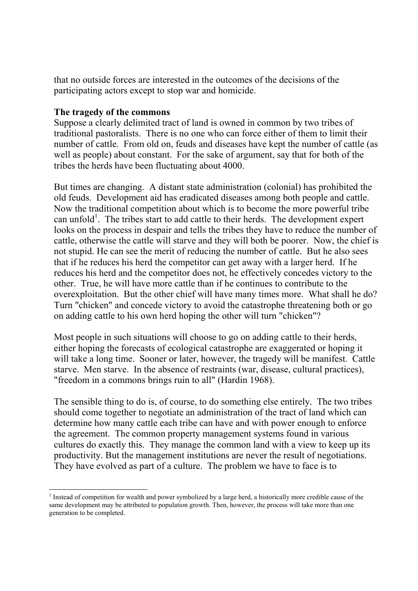that no outside forces are interested in the outcomes of the decisions of the participating actors except to stop war and homicide.

### **The tragedy of the commons**

Suppose a clearly delimited tract of land is owned in common by two tribes of traditional pastoralists. There is no one who can force either of them to limit their number of cattle. From old on, feuds and diseases have kept the number of cattle (as well as people) about constant. For the sake of argument, say that for both of the tribes the herds have been fluctuating about 4000.

But times are changing. A distant state administration (colonial) has prohibited the old feuds. Development aid has eradicated diseases among both people and cattle. Now the traditional competition about which is to become the more powerful tribe can unfold<sup>1</sup>. The tribes start to add cattle to their herds. The development expert looks on the process in despair and tells the tribes they have to reduce the number of cattle, otherwise the cattle will starve and they will both be poorer. Now, the chief is not stupid. He can see the merit of reducing the number of cattle. But he also sees that if he reduces his herd the competitor can get away with a larger herd. If he reduces his herd and the competitor does not, he effectively concedes victory to the other. True, he will have more cattle than if he continues to contribute to the overexploitation. But the other chief will have many times more. What shall he do? Turn "chicken" and concede victory to avoid the catastrophe threatening both or go on adding cattle to his own herd hoping the other will turn "chicken"?

Most people in such situations will choose to go on adding cattle to their herds, either hoping the forecasts of ecological catastrophe are exaggerated or hoping it will take a long time. Sooner or later, however, the tragedy will be manifest. Cattle starve. Men starve. In the absence of restraints (war, disease, cultural practices), "freedom in a commons brings ruin to all" (Hardin 1968).

The sensible thing to do is, of course, to do something else entirely. The two tribes should come together to negotiate an administration of the tract of land which can determine how many cattle each tribe can have and with power enough to enforce the agreement. The common property management systems found in various cultures do exactly this. They manage the common land with a view to keep up its productivity. But the management institutions are never the result of negotiations. They have evolved as part of a culture. The problem we have to face is to

<sup>-</sup> $1$  Instead of competition for wealth and power symbolized by a large herd, a historically more credible cause of the same development may be attributed to population growth. Then, however, the process will take more than one generation to be completed.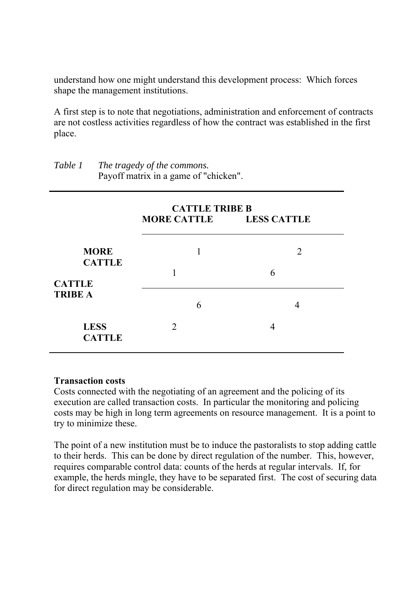understand how one might understand this development process: Which forces shape the management institutions.

A first step is to note that negotiations, administration and enforcement of contracts are not costless activities regardless of how the contract was established in the first place.

|                                                                 | <b>CATTLE TRIBE B</b><br>MORE CATTLE LESS CATTLE |                                  |  |
|-----------------------------------------------------------------|--------------------------------------------------|----------------------------------|--|
| <b>MORE</b><br><b>CATTLE</b><br><b>CATTLE</b><br><b>TRIBE A</b> | 1<br>1                                           | $\mathcal{D}_{\mathcal{L}}$<br>6 |  |
|                                                                 | 6                                                | 4                                |  |
| <b>LESS</b><br><b>CATTLE</b>                                    | $\mathcal{D}_{\cdot}$                            | 4                                |  |

*Table 1 The tragedy of the commons.*  Payoff matrix in a game of "chicken".

### **Transaction costs**

Costs connected with the negotiating of an agreement and the policing of its execution are called transaction costs. In particular the monitoring and policing costs may be high in long term agreements on resource management. It is a point to try to minimize these.

The point of a new institution must be to induce the pastoralists to stop adding cattle to their herds. This can be done by direct regulation of the number. This, however, requires comparable control data: counts of the herds at regular intervals. If, for example, the herds mingle, they have to be separated first. The cost of securing data for direct regulation may be considerable.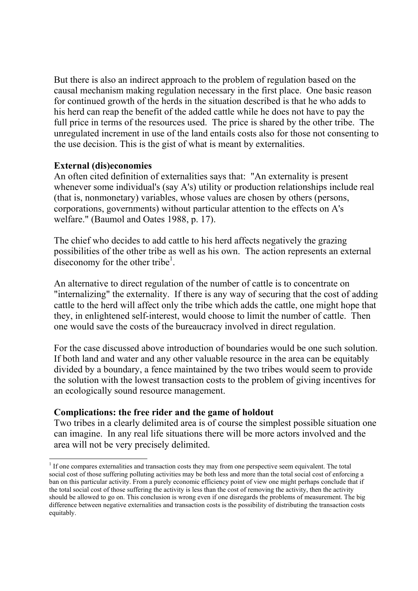But there is also an indirect approach to the problem of regulation based on the causal mechanism making regulation necessary in the first place. One basic reason for continued growth of the herds in the situation described is that he who adds to his herd can reap the benefit of the added cattle while he does not have to pay the full price in terms of the resources used. The price is shared by the other tribe. The unregulated increment in use of the land entails costs also for those not consenting to the use decision. This is the gist of what is meant by externalities.

### **External (dis)economies**

-

An often cited definition of externalities says that: "An externality is present whenever some individual's (say A's) utility or production relationships include real (that is, nonmonetary) variables, whose values are chosen by others (persons, corporations, governments) without particular attention to the effects on A's welfare." (Baumol and Oates 1988, p. 17).

The chief who decides to add cattle to his herd affects negatively the grazing possibilities of the other tribe as well as his own. The action represents an external diseconomy for the other tribe<sup>1</sup>.

An alternative to direct regulation of the number of cattle is to concentrate on "internalizing" the externality. If there is any way of securing that the cost of adding cattle to the herd will affect only the tribe which adds the cattle, one might hope that they, in enlightened self-interest, would choose to limit the number of cattle. Then one would save the costs of the bureaucracy involved in direct regulation.

For the case discussed above introduction of boundaries would be one such solution. If both land and water and any other valuable resource in the area can be equitably divided by a boundary, a fence maintained by the two tribes would seem to provide the solution with the lowest transaction costs to the problem of giving incentives for an ecologically sound resource management.

### **Complications: the free rider and the game of holdout**

Two tribes in a clearly delimited area is of course the simplest possible situation one can imagine. In any real life situations there will be more actors involved and the area will not be very precisely delimited.

 $<sup>1</sup>$  If one compares externalities and transaction costs they may from one perspective seem equivalent. The total</sup> social cost of those suffering polluting activities may be both less and more than the total social cost of enforcing a ban on this particular activity. From a purely economic efficiency point of view one might perhaps conclude that if the total social cost of those suffering the activity is less than the cost of removing the activity, then the activity should be allowed to go on. This conclusion is wrong even if one disregards the problems of measurement. The big difference between negative externalities and transaction costs is the possibility of distributing the transaction costs equitably.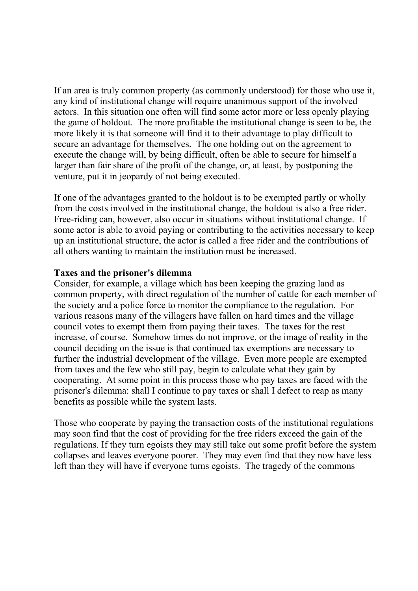If an area is truly common property (as commonly understood) for those who use it, any kind of institutional change will require unanimous support of the involved actors. In this situation one often will find some actor more or less openly playing the game of holdout. The more profitable the institutional change is seen to be, the more likely it is that someone will find it to their advantage to play difficult to secure an advantage for themselves. The one holding out on the agreement to execute the change will, by being difficult, often be able to secure for himself a larger than fair share of the profit of the change, or, at least, by postponing the venture, put it in jeopardy of not being executed.

If one of the advantages granted to the holdout is to be exempted partly or wholly from the costs involved in the institutional change, the holdout is also a free rider. Free-riding can, however, also occur in situations without institutional change. If some actor is able to avoid paying or contributing to the activities necessary to keep up an institutional structure, the actor is called a free rider and the contributions of all others wanting to maintain the institution must be increased.

### **Taxes and the prisoner's dilemma**

Consider, for example, a village which has been keeping the grazing land as common property, with direct regulation of the number of cattle for each member of the society and a police force to monitor the compliance to the regulation. For various reasons many of the villagers have fallen on hard times and the village council votes to exempt them from paying their taxes. The taxes for the rest increase, of course. Somehow times do not improve, or the image of reality in the council deciding on the issue is that continued tax exemptions are necessary to further the industrial development of the village. Even more people are exempted from taxes and the few who still pay, begin to calculate what they gain by cooperating. At some point in this process those who pay taxes are faced with the prisoner's dilemma: shall I continue to pay taxes or shall I defect to reap as many benefits as possible while the system lasts.

Those who cooperate by paying the transaction costs of the institutional regulations may soon find that the cost of providing for the free riders exceed the gain of the regulations. If they turn egoists they may still take out some profit before the system collapses and leaves everyone poorer. They may even find that they now have less left than they will have if everyone turns egoists. The tragedy of the commons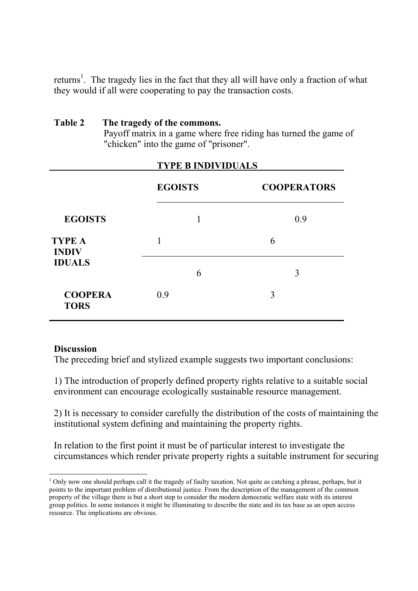returns<sup>1</sup>. The tragedy lies in the fact that they all will have only a fraction of what they would if all were cooperating to pay the transaction costs.

### **Table 2 The tragedy of the commons.**

Payoff matrix in a game where free riding has turned the game of "chicken" into the game of "prisoner".

|                                                | <b>TYPE B INDIVIDUALS</b> |   |                    |
|------------------------------------------------|---------------------------|---|--------------------|
|                                                | <b>EGOISTS</b>            |   | <b>COOPERATORS</b> |
| <b>EGOISTS</b>                                 |                           |   | 0.9                |
| <b>TYPE A</b><br><b>INDIV</b><br><b>IDUALS</b> |                           |   | 6                  |
|                                                |                           | 6 | 3                  |
| <b>COOPERA</b><br><b>TORS</b>                  | 0.9                       |   | 3                  |

### **Discussion**

The preceding brief and stylized example suggests two important conclusions:

1) The introduction of properly defined property rights relative to a suitable social environment can encourage ecologically sustainable resource management.

2) It is necessary to consider carefully the distribution of the costs of maintaining the institutional system defining and maintaining the property rights.

In relation to the first point it must be of particular interest to investigate the circumstances which render private property rights a suitable instrument for securing

<sup>-</sup> $1$  Only now one should perhaps call it the tragedy of faulty taxation. Not quite as catching a phrase, perhaps, but it points to the important problem of distributional justice. From the description of the management of the common property of the village there is but a short step to consider the modern democratic welfare state with its interest group politics. In some instances it might be illuminating to describe the state and its tax base as an open access resource. The implications are obvious.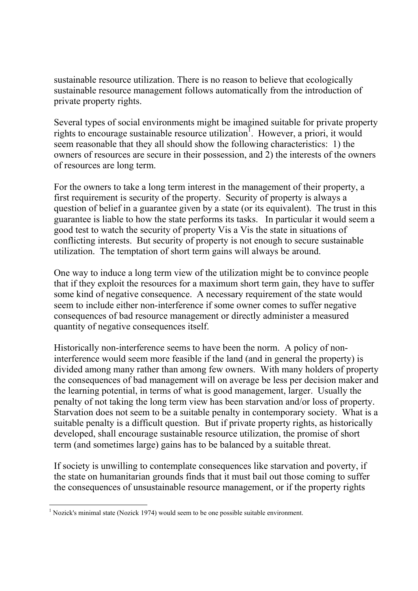sustainable resource utilization. There is no reason to believe that ecologically sustainable resource management follows automatically from the introduction of private property rights.

Several types of social environments might be imagined suitable for private property rights to encourage sustainable resource utilization<sup>1</sup>. However, a priori, it would seem reasonable that they all should show the following characteristics: 1) the owners of resources are secure in their possession, and 2) the interests of the owners of resources are long term.

For the owners to take a long term interest in the management of their property, a first requirement is security of the property. Security of property is always a question of belief in a guarantee given by a state (or its equivalent). The trust in this guarantee is liable to how the state performs its tasks. In particular it would seem a good test to watch the security of property Vis a Vis the state in situations of conflicting interests. But security of property is not enough to secure sustainable utilization. The temptation of short term gains will always be around.

One way to induce a long term view of the utilization might be to convince people that if they exploit the resources for a maximum short term gain, they have to suffer some kind of negative consequence. A necessary requirement of the state would seem to include either non-interference if some owner comes to suffer negative consequences of bad resource management or directly administer a measured quantity of negative consequences itself.

Historically non-interference seems to have been the norm. A policy of noninterference would seem more feasible if the land (and in general the property) is divided among many rather than among few owners. With many holders of property the consequences of bad management will on average be less per decision maker and the learning potential, in terms of what is good management, larger. Usually the penalty of not taking the long term view has been starvation and/or loss of property. Starvation does not seem to be a suitable penalty in contemporary society. What is a suitable penalty is a difficult question. But if private property rights, as historically developed, shall encourage sustainable resource utilization, the promise of short term (and sometimes large) gains has to be balanced by a suitable threat.

If society is unwilling to contemplate consequences like starvation and poverty, if the state on humanitarian grounds finds that it must bail out those coming to suffer the consequences of unsustainable resource management, or if the property rights

<sup>-</sup> $<sup>1</sup>$  Nozick's minimal state (Nozick 1974) would seem to be one possible suitable environment.</sup>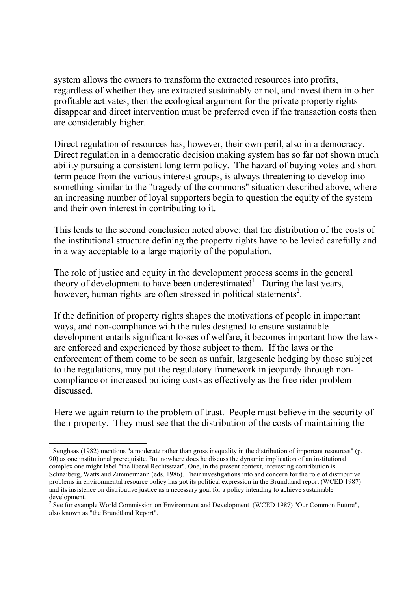system allows the owners to transform the extracted resources into profits, regardless of whether they are extracted sustainably or not, and invest them in other profitable activates, then the ecological argument for the private property rights disappear and direct intervention must be preferred even if the transaction costs then are considerably higher.

Direct regulation of resources has, however, their own peril, also in a democracy. Direct regulation in a democratic decision making system has so far not shown much ability pursuing a consistent long term policy. The hazard of buying votes and short term peace from the various interest groups, is always threatening to develop into something similar to the "tragedy of the commons" situation described above, where an increasing number of loyal supporters begin to question the equity of the system and their own interest in contributing to it.

This leads to the second conclusion noted above: that the distribution of the costs of the institutional structure defining the property rights have to be levied carefully and in a way acceptable to a large majority of the population.

The role of justice and equity in the development process seems in the general theory of development to have been underestimated<sup>1</sup>. During the last years, however, human rights are often stressed in political statements<sup>2</sup>.

If the definition of property rights shapes the motivations of people in important ways, and non-compliance with the rules designed to ensure sustainable development entails significant losses of welfare, it becomes important how the laws are enforced and experienced by those subject to them. If the laws or the enforcement of them come to be seen as unfair, largescale hedging by those subject to the regulations, may put the regulatory framework in jeopardy through noncompliance or increased policing costs as effectively as the free rider problem discussed.

Here we again return to the problem of trust. People must believe in the security of their property. They must see that the distribution of the costs of maintaining the

<sup>-</sup><sup>1</sup> Senghaas (1982) mentions "a moderate rather than gross inequality in the distribution of important resources" (p. 90) as one institutional prerequisite. But nowhere does he discuss the dynamic implication of an institutional complex one might label "the liberal Rechtsstaat". One, in the present context, interesting contribution is Schnaiberg, Watts and Zimmermann (eds. 1986). Their investigations into and concern for the role of distributive problems in environmental resource policy has got its political expression in the Brundtland report (WCED 1987) and its insistence on distributive justice as a necessary goal for a policy intending to achieve sustainable development.

<sup>&</sup>lt;sup>2</sup> See for example World Commission on Environment and Development (WCED 1987) "Our Common Future", also known as "the Brundtland Report".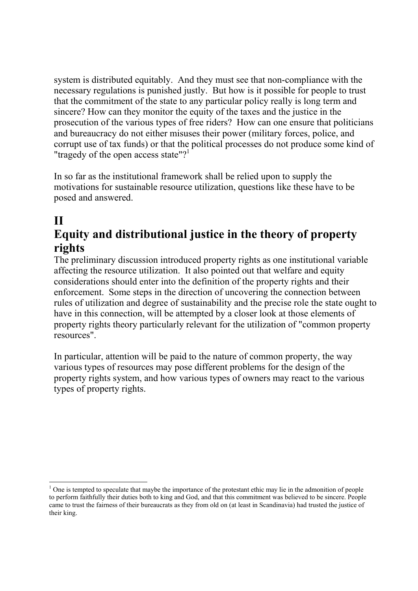system is distributed equitably. And they must see that non-compliance with the necessary regulations is punished justly. But how is it possible for people to trust that the commitment of the state to any particular policy really is long term and sincere? How can they monitor the equity of the taxes and the justice in the prosecution of the various types of free riders? How can one ensure that politicians and bureaucracy do not either misuses their power (military forces, police, and corrupt use of tax funds) or that the political processes do not produce some kind of "tragedy of the open access state"?<sup>1</sup>

In so far as the institutional framework shall be relied upon to supply the motivations for sustainable resource utilization, questions like these have to be posed and answered.

# **II**

## **Equity and distributional justice in the theory of property rights**

The preliminary discussion introduced property rights as one institutional variable affecting the resource utilization. It also pointed out that welfare and equity considerations should enter into the definition of the property rights and their enforcement. Some steps in the direction of uncovering the connection between rules of utilization and degree of sustainability and the precise role the state ought to have in this connection, will be attempted by a closer look at those elements of property rights theory particularly relevant for the utilization of "common property resources".

In particular, attention will be paid to the nature of common property, the way various types of resources may pose different problems for the design of the property rights system, and how various types of owners may react to the various types of property rights.

<sup>1</sup>  $<sup>1</sup>$  One is tempted to speculate that maybe the importance of the protestant ethic may lie in the admonition of people</sup> to perform faithfully their duties both to king and God, and that this commitment was believed to be sincere. People came to trust the fairness of their bureaucrats as they from old on (at least in Scandinavia) had trusted the justice of their king.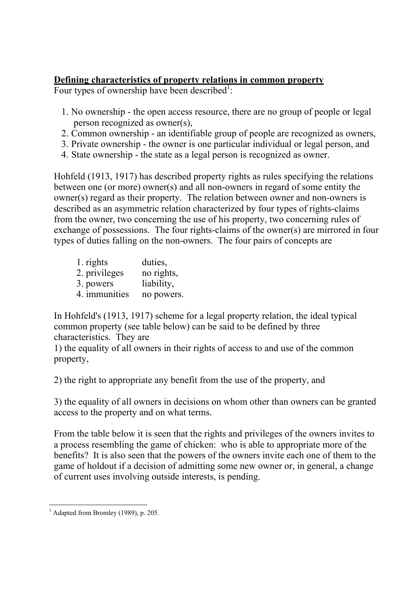### **Defining characteristics of property relations in common property**

Four types of ownership have been described<sup>1</sup>:

- 1. No ownership the open access resource, there are no group of people or legal person recognized as owner(s),
- 2. Common ownership an identifiable group of people are recognized as owners,
- 3. Private ownership the owner is one particular individual or legal person, and
- 4. State ownership the state as a legal person is recognized as owner.

Hohfeld (1913, 1917) has described property rights as rules specifying the relations between one (or more) owner(s) and all non-owners in regard of some entity the owner(s) regard as their property. The relation between owner and non-owners is described as an asymmetric relation characterized by four types of rights-claims from the owner, two concerning the use of his property, two concerning rules of exchange of possessions. The four rights-claims of the owner(s) are mirrored in four types of duties falling on the non-owners. The four pairs of concepts are

| 1. rights     | duties,    |
|---------------|------------|
| 2. privileges | no rights, |
| 3. powers     | liability, |
| 4. immunities | no powers. |

In Hohfeld's (1913, 1917) scheme for a legal property relation, the ideal typical common property (see table below) can be said to be defined by three characteristics. They are

1) the equality of all owners in their rights of access to and use of the common property,

2) the right to appropriate any benefit from the use of the property, and

3) the equality of all owners in decisions on whom other than owners can be granted access to the property and on what terms.

From the table below it is seen that the rights and privileges of the owners invites to a process resembling the game of chicken: who is able to appropriate more of the benefits? It is also seen that the powers of the owners invite each one of them to the game of holdout if a decision of admitting some new owner or, in general, a change of current uses involving outside interests, is pending.

<sup>-</sup><sup>1</sup> Adapted from Bromley (1989), p. 205.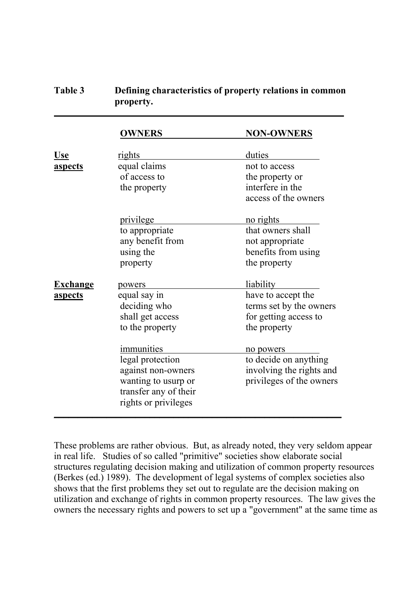### **Table 3 Defining characteristics of property relations in common property.**

 $\overline{a}$ 

|                 | <b>OWNERS</b>         | <b>NON-OWNERS</b>        |
|-----------------|-----------------------|--------------------------|
|                 |                       |                          |
| <u>Use</u>      | <u>rights</u>         | duties                   |
| <u>aspects</u>  | equal claims          | not to access            |
|                 | of access to          | the property or          |
|                 | the property          | interfere in the         |
|                 |                       | access of the owners     |
|                 | privilege             | no rights                |
|                 | to appropriate        | that owners shall        |
|                 | any benefit from      | not appropriate          |
|                 | using the             | benefits from using      |
|                 | property              | the property             |
| <u>Exchange</u> | powers                | <i>liability</i>         |
| aspects         | equal say in          | have to accept the       |
|                 | deciding who          | terms set by the owners  |
|                 | shall get access      | for getting access to    |
|                 | to the property       | the property             |
|                 | immunities            | no powers                |
|                 | legal protection      | to decide on anything    |
|                 | against non-owners    | involving the rights and |
|                 | wanting to usurp or   | privileges of the owners |
|                 | transfer any of their |                          |
|                 | rights or privileges  |                          |
|                 |                       |                          |

These problems are rather obvious. But, as already noted, they very seldom appear in real life. Studies of so called "primitive" societies show elaborate social structures regulating decision making and utilization of common property resources (Berkes (ed.) 1989). The development of legal systems of complex societies also shows that the first problems they set out to regulate are the decision making on utilization and exchange of rights in common property resources. The law gives the owners the necessary rights and powers to set up a "government" at the same time as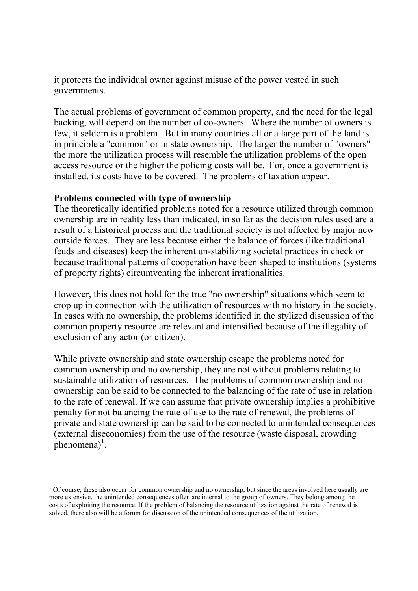it protects the individual owner against misuse of the power vested in such governments.

The actual problems of government of common property, and the need for the legal backing, will depend on the number of co-owners. Where the number of owners is few, it seldom is a problem. But in many countries all or a large part of the land is in principle a "common" or in state ownership. The larger the number of "owners" the more the utilization process will resemble the utilization problems of the open access resource or the higher the policing costs will be. For, once a government is installed, its costs have to be covered. The problems of taxation appear.

### **Problems connected with type of ownership**

1

The theoretically identified problems noted for a resource utilized through common ownership are in reality less than indicated, in so far as the decision rules used are a result of a historical process and the traditional society is not affected by major new outside forces. They are less because either the balance of forces (like traditional feuds and diseases) keep the inherent un-stabilizing societal practices in check or because traditional patterns of cooperation have been shaped to institutions (systems of property rights) circumventing the inherent irrationalities.

However, this does not hold for the true "no ownership" situations which seem to crop up in connection with the utilization of resources with no history in the society. In cases with no ownership, the problems identified in the stylized discussion of the common property resource are relevant and intensified because of the illegality of exclusion of any actor (or citizen).

While private ownership and state ownership escape the problems noted for common ownership and no ownership, they are not without problems relating to sustainable utilization of resources. The problems of common ownership and no ownership can be said to be connected to the balancing of the rate of use in relation to the rate of renewal. If we can assume that private ownership implies a prohibitive penalty for not balancing the rate of use to the rate of renewal, the problems of private and state ownership can be said to be connected to unintended consequences (external diseconomies) from the use of the resource (waste disposal, crowding  $phenomena)^{1}$ .

 $1$  Of course, these also occur for common ownership and no ownership, but since the areas involved here usually are more extensive, the unintended consequences often are internal to the group of owners. They belong among the costs of exploiting the resource. If the problem of balancing the resource utilization against the rate of renewal is solved, there also will be a forum for discussion of the unintended consequences of the utilization.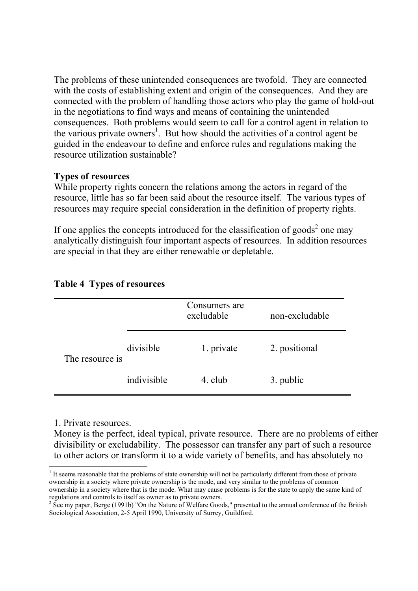The problems of these unintended consequences are twofold. They are connected with the costs of establishing extent and origin of the consequences. And they are connected with the problem of handling those actors who play the game of hold-out in the negotiations to find ways and means of containing the unintended consequences. Both problems would seem to call for a control agent in relation to the various private owners<sup>1</sup>. But how should the activities of a control agent be guided in the endeavour to define and enforce rules and regulations making the resource utilization sustainable?

### **Types of resources**

While property rights concern the relations among the actors in regard of the resource, little has so far been said about the resource itself. The various types of resources may require special consideration in the definition of property rights.

If one applies the concepts introduced for the classification of goods<sup>2</sup> one may analytically distinguish four important aspects of resources. In addition resources are special in that they are either renewable or depletable.

|                 |             | Consumers are<br>excludable | non-excludable |
|-----------------|-------------|-----------------------------|----------------|
| The resource is | divisible   | 1. private                  | 2. positional  |
|                 | indivisible | 4. club                     | 3. public      |

### **Table 4 Types of resources**

1. Private resources.

-

Money is the perfect, ideal typical, private resource. There are no problems of either divisibility or excludability. The possessor can transfer any part of such a resource to other actors or transform it to a wide variety of benefits, and has absolutely no

 $1$  It seems reasonable that the problems of state ownership will not be particularly different from those of private ownership in a society where private ownership is the mode, and very similar to the problems of common ownership in a society where that is the mode. What may cause problems is for the state to apply the same kind of regulations and controls to itself as owner as to private owners. 2

 $2$  See my paper, Berge (1991b) "On the Nature of Welfare Goods," presented to the annual conference of the British Sociological Association, 2-5 April 1990, University of Surrey, Guildford.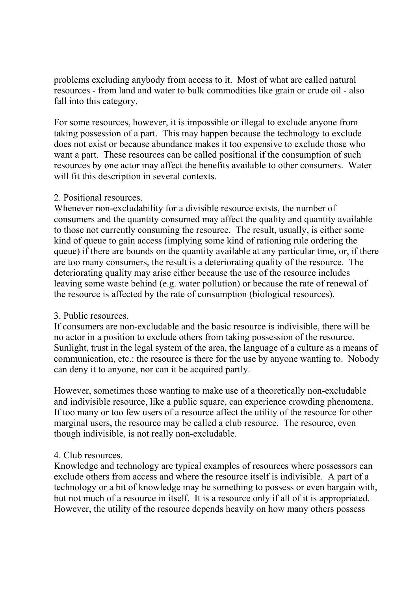problems excluding anybody from access to it. Most of what are called natural resources - from land and water to bulk commodities like grain or crude oil - also fall into this category.

For some resources, however, it is impossible or illegal to exclude anyone from taking possession of a part. This may happen because the technology to exclude does not exist or because abundance makes it too expensive to exclude those who want a part. These resources can be called positional if the consumption of such resources by one actor may affect the benefits available to other consumers. Water will fit this description in several contexts.

### 2. Positional resources.

Whenever non-excludability for a divisible resource exists, the number of consumers and the quantity consumed may affect the quality and quantity available to those not currently consuming the resource. The result, usually, is either some kind of queue to gain access (implying some kind of rationing rule ordering the queue) if there are bounds on the quantity available at any particular time, or, if there are too many consumers, the result is a deteriorating quality of the resource. The deteriorating quality may arise either because the use of the resource includes leaving some waste behind (e.g. water pollution) or because the rate of renewal of the resource is affected by the rate of consumption (biological resources).

### 3. Public resources.

If consumers are non-excludable and the basic resource is indivisible, there will be no actor in a position to exclude others from taking possession of the resource. Sunlight, trust in the legal system of the area, the language of a culture as a means of communication, etc.: the resource is there for the use by anyone wanting to. Nobody can deny it to anyone, nor can it be acquired partly.

However, sometimes those wanting to make use of a theoretically non-excludable and indivisible resource, like a public square, can experience crowding phenomena. If too many or too few users of a resource affect the utility of the resource for other marginal users, the resource may be called a club resource. The resource, even though indivisible, is not really non-excludable.

### 4. Club resources.

Knowledge and technology are typical examples of resources where possessors can exclude others from access and where the resource itself is indivisible. A part of a technology or a bit of knowledge may be something to possess or even bargain with, but not much of a resource in itself. It is a resource only if all of it is appropriated. However, the utility of the resource depends heavily on how many others possess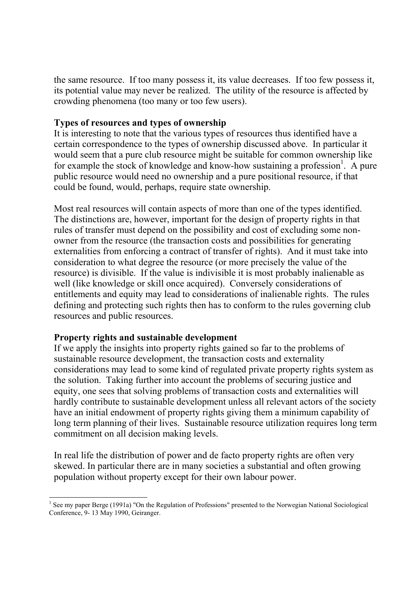the same resource. If too many possess it, its value decreases. If too few possess it, its potential value may never be realized. The utility of the resource is affected by crowding phenomena (too many or too few users).

### **Types of resources and types of ownership**

It is interesting to note that the various types of resources thus identified have a certain correspondence to the types of ownership discussed above. In particular it would seem that a pure club resource might be suitable for common ownership like for example the stock of knowledge and know-how sustaining a profession<sup>1</sup>. A pure public resource would need no ownership and a pure positional resource, if that could be found, would, perhaps, require state ownership.

Most real resources will contain aspects of more than one of the types identified. The distinctions are, however, important for the design of property rights in that rules of transfer must depend on the possibility and cost of excluding some nonowner from the resource (the transaction costs and possibilities for generating externalities from enforcing a contract of transfer of rights). And it must take into consideration to what degree the resource (or more precisely the value of the resource) is divisible. If the value is indivisible it is most probably inalienable as well (like knowledge or skill once acquired). Conversely considerations of entitlements and equity may lead to considerations of inalienable rights. The rules defining and protecting such rights then has to conform to the rules governing club resources and public resources.

### **Property rights and sustainable development**

If we apply the insights into property rights gained so far to the problems of sustainable resource development, the transaction costs and externality considerations may lead to some kind of regulated private property rights system as the solution. Taking further into account the problems of securing justice and equity, one sees that solving problems of transaction costs and externalities will hardly contribute to sustainable development unless all relevant actors of the society have an initial endowment of property rights giving them a minimum capability of long term planning of their lives. Sustainable resource utilization requires long term commitment on all decision making levels.

In real life the distribution of power and de facto property rights are often very skewed. In particular there are in many societies a substantial and often growing population without property except for their own labour power.

<sup>-</sup><sup>1</sup> See my paper Berge (1991a) "On the Regulation of Professions" presented to the Norwegian National Sociological Conference, 9- 13 May 1990, Geiranger.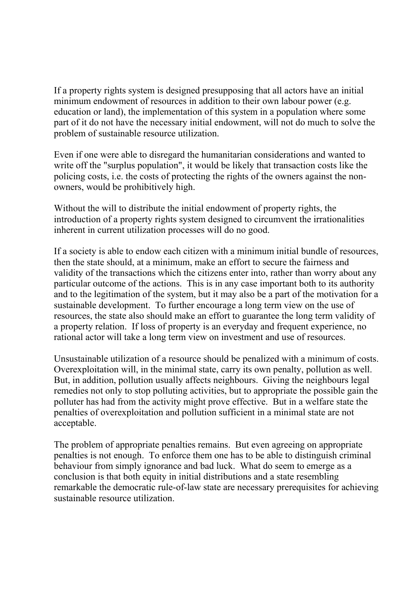If a property rights system is designed presupposing that all actors have an initial minimum endowment of resources in addition to their own labour power (e.g. education or land), the implementation of this system in a population where some part of it do not have the necessary initial endowment, will not do much to solve the problem of sustainable resource utilization.

Even if one were able to disregard the humanitarian considerations and wanted to write off the "surplus population", it would be likely that transaction costs like the policing costs, i.e. the costs of protecting the rights of the owners against the nonowners, would be prohibitively high.

Without the will to distribute the initial endowment of property rights, the introduction of a property rights system designed to circumvent the irrationalities inherent in current utilization processes will do no good.

If a society is able to endow each citizen with a minimum initial bundle of resources, then the state should, at a minimum, make an effort to secure the fairness and validity of the transactions which the citizens enter into, rather than worry about any particular outcome of the actions. This is in any case important both to its authority and to the legitimation of the system, but it may also be a part of the motivation for a sustainable development. To further encourage a long term view on the use of resources, the state also should make an effort to guarantee the long term validity of a property relation. If loss of property is an everyday and frequent experience, no rational actor will take a long term view on investment and use of resources.

Unsustainable utilization of a resource should be penalized with a minimum of costs. Overexploitation will, in the minimal state, carry its own penalty, pollution as well. But, in addition, pollution usually affects neighbours. Giving the neighbours legal remedies not only to stop polluting activities, but to appropriate the possible gain the polluter has had from the activity might prove effective. But in a welfare state the penalties of overexploitation and pollution sufficient in a minimal state are not acceptable.

The problem of appropriate penalties remains. But even agreeing on appropriate penalties is not enough. To enforce them one has to be able to distinguish criminal behaviour from simply ignorance and bad luck. What do seem to emerge as a conclusion is that both equity in initial distributions and a state resembling remarkable the democratic rule-of-law state are necessary prerequisites for achieving sustainable resource utilization.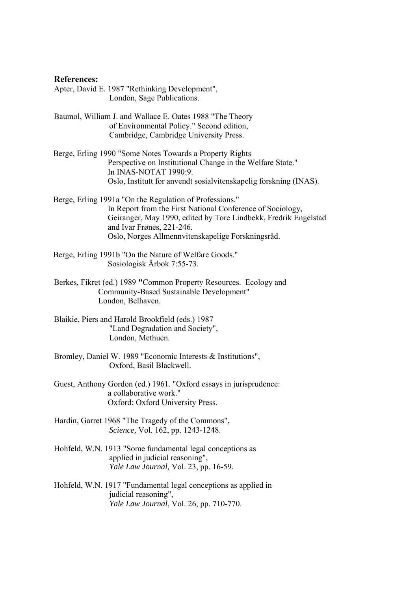#### **References:**

Apter, David E. 1987 "Rethinking Development", London, Sage Publications.

- Baumol, William J. and Wallace E. Oates 1988 "The Theory of Environmental Policy." Second edition, Cambridge, Cambridge University Press.
- Berge, Erling 1990 "Some Notes Towards a Property Rights Perspective on Institutional Change in the Welfare State." In INAS-NOTAT 1990:9. Oslo, Institutt for anvendt sosialvitenskapelig forskning (INAS).
- Berge, Erling 1991a "On the Regulation of Professions." In Report from the First National Conference of Sociology, Geiranger, May 1990, edited by Tore Lindbekk, Fredrik Engelstad and Ivar Frønes, 221-246. Oslo, Norges Allmennvitenskapelige Forskningsråd.
- Berge, Erling 1991b "On the Nature of Welfare Goods." Sosiologisk Årbok 7:55-73.
- Berkes, Fikret (ed.) 1989 **"**Common Property Resources. Ecology and Community-Based Sustainable Development" London, Belhaven.
- Blaikie, Piers and Harold Brookfield (eds.) 1987 "Land Degradation and Society", London, Methuen.
- Bromley, Daniel W. 1989 "Economic Interests & Institutions", Oxford, Basil Blackwell.
- Guest, Anthony Gordon (ed.) 1961. "Oxford essays in jurisprudence: a collaborative work." Oxford: Oxford University Press.
- Hardin, Garret 1968 "The Tragedy of the Commons", *Science,* Vol. 162, pp. 1243-1248.
- Hohfeld, W.N. 1913 "Some fundamental legal conceptions as applied in judicial reasoning", *Yale Law Journal,* Vol. 23, pp. 16-59.
- Hohfeld, W.N. 1917 "Fundamental legal conceptions as applied in judicial reasoning", *Yale Law Journal*, Vol. 26, pp. 710-770.